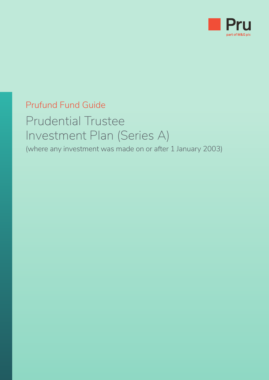

# Prufund Fund Guide

# Prudential Trustee Investment Plan (Series A)

(where any investment was made on or after 1 January 2003)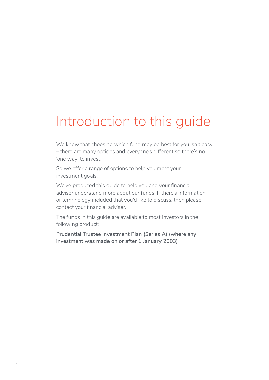# Introduction to this guide

We know that choosing which fund may be best for you isn't easy – there are many options and everyone's different so there's no 'one way' to invest.

So we offer a range of options to help you meet your investment goals.

We've produced this guide to help you and your financial adviser understand more about our funds. If there's information or terminology included that you'd like to discuss, then please contact your financial adviser.

The funds in this guide are available to most investors in the following product:

**Prudential Trustee Investment Plan (Series A) (where any investment was made on or after 1 January 2003)**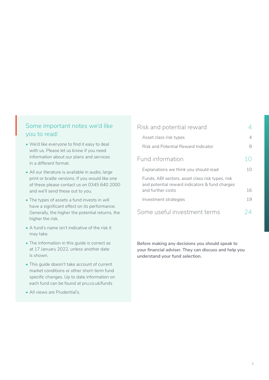#### Some important notes we'd like you to read: So<br>yo

- We'd like everyone to find it easy to deal with us. Please let us know if you need information about our plans and services in a different format.
- All our literature is available in audio, large print or braille versions. If you would like one of these please contact us on 0345 640 2000 and we'll send these out to you.
- The types of assets a fund invests in will have a significant effect on its performance. Generally, the higher the potential returns, the higher the risk.
- A fund's name isn't indicative of the risk it may take.
- The information in this guide is correct as at 17 January 2022, unless another date is shown.
- This guide doesn't take account of current market conditions or other short-term fund specific changes. Up to date information on each fund can be found at pru.co.uk/funds
- All views are Prudential's.

| Risk and potential reward                                                                          |    |
|----------------------------------------------------------------------------------------------------|----|
| Asset class risk types                                                                             | 4  |
| Risk and Potential Reward Indicator                                                                | 8  |
| Fund information                                                                                   |    |
| Explanations we think you should read                                                              | 10 |
| Funds, ABI sectors, asset class risk types, risk<br>and potential reward indicators & fund charges |    |
| and further costs                                                                                  | 16 |
| Investment strategies                                                                              | 19 |
| Some useful investment terms                                                                       |    |

**Before making any decisions you should speak to your financial adviser. They can discuss and help you understand your fund selection.**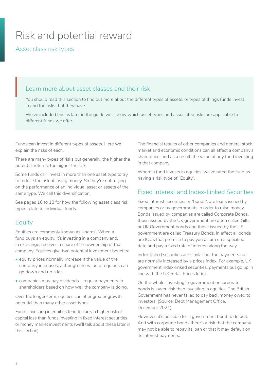# <span id="page-3-0"></span>Risk and potential reward

Asset class risk types

# Learn more about asset classes and their risk  $L_{\epsilon}$

You should read this section to find out more about the different types of assets, or types of things funds invest in and the risks that they have.

We've included this as later in the guide we'll show which asset types and associated risks are applicable to different funds we offer.

Funds can invest in different types of assets. Here we explain the risks of each.

There are many types of risks but generally, the higher the potential returns, the higher the risk.

Some funds can invest in more than one asset type to try to reduce the risk of losing money. So they're not relying on the performance of an individual asset or assets of the same type. We call this diversification.

See pages 16 to 18 for how the following asset class risk types relate to individual funds.

## **Equity**

Equities are commonly known as 'shares'. When a fund buys an equity, it's investing in a company and, in exchange, receives a share of the ownership of that company. Equities give two potential investment benefits:

- equity prices normally increase if the value of the company increases, although the value of equities can go down and up a lot.
- companies may pay dividends regular payments to shareholders based on how well the company is doing.

Over the longer-term, equities can offer greater growth potential than many other asset types.

Funds investing in equities tend to carry a higher risk of capital loss than funds investing in fixed interest securities or money market investments (we'll talk about these later in this section).

The financial results of other companies and general stock market and economic conditions can all affect a company's share price, and as a result, the value of any fund investing in that company.

Where a fund invests in equities, we've rated the fund as having a risk type of "Equity".

## Fixed Interest and Index-Linked Securities

Fixed interest securities, or "bonds", are loans issued by companies or by governments in order to raise money. Bonds issued by companies are called Corporate Bonds, those issued by the UK government are often called Gilts or UK Government bonds and those issued by the US government are called Treasury Bonds. In effect all bonds are IOUs that promise to pay you a sum on a specified date and pay a fixed rate of interest along the way.

Index-linked securities are similar but the payments out are normally increased by a prices index. For example, UK government index-linked securities, payments out go up in line with the UK Retail Prices Index.

On the whole, investing in government or corporate bonds is lower-risk than investing in equities. The British Government has never failed to pay back money owed to investors. (Source: Debt Management Office, December 2021).

However, it's possible for a government bond to default. And with corporate bonds there's a risk that the company may not be able to repay its loan or that it may default on its interest payments.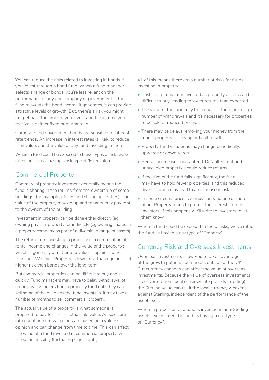You can reduce the risks related to investing in bonds if you invest through a bond fund. When a fund manager selects a range of bonds, you're less reliant on the performance of any one company or government. If the fund reinvests the bond income it generates, it can provide attractive levels of growth. But, there's a risk you might not get back the amount you invest and the income you receive is neither fixed or guaranteed.

Corporate and government bonds are sensitive to interest rate trends. An increase in interest rates is likely to reduce their value, and the value of any fund investing in them.

Where a fund could be exposed to these types of risk, we've rated the fund as having a risk type of "Fixed Interest".

## Commercial Property

Commercial property investment generally means the fund is sharing in the returns from the ownership of some buildings (for example, offices and shopping centres). The value of the property may go up and tenants may pay rent to the owners of the building.

Investment in property can be done either directly (eg owning physical property) or indirectly (eg owning shares in a property company as part of a diversified range of assets).

The return from investing in property is a combination of rental income and changes in the value of the property; which is generally a matter of a valuer's opinion rather than fact. We think Property is lower risk than equities, but higher risk than bonds over the long-term.

But commercial properties can be difficult to buy and sell quickly. Fund managers may have to delay withdrawal of money by customers from a property fund until they can sell some of the buildings the fund invests in. It may take a number of months to sell commercial property.

The actual value of a property is what someone is prepared to pay for it – an actual sale value. As sales are infrequent, interim valuations are based on a valuer's opinion and can change from time to time. This can affect the value of a fund invested in commercial property, with the value possibly fluctuating significantly.

All of this means there are a number of risks for funds investing in property:

- Cash could remain uninvested as property assets can be difficult to buy, leading to lower returns than expected.
- The value of the fund may be reduced if there are a large number of withdrawals and it's necessary for properties to be sold at reduced prices.
- There may be delays removing your money from the fund if property is proving difficult to sell.
- Property fund valuations may change periodically, upwards or downwards.
- Rental income isn't guaranteed. Defaulted rent and unoccupied properties could reduce returns.
- If the size of the fund falls significantly, the fund may have to hold fewer properties, and this reduced diversification may lead to an increase in risk.
- In some circumstances we may suspend one or more of our Property funds to protect the interests of our investors. If this happens we'll write to investors to let them know.

Where a fund could be exposed to these risks, we've rated the fund as having a risk type of "Property".

### Currency Risk and Overseas Investments

Overseas investments allow you to take advantage of the growth potential of markets outside of the UK. But currency changes can affect the value of overseas investments. Because the value of overseas investments is converted from local currency into pounds (Sterling), the Sterling value can fall if the local currency weakens against Sterling, independent of the performance of the asset itself.

Where a proportion of a fund is invested in non-Sterling assets, we've rated the fund as having a risk type of "Currency".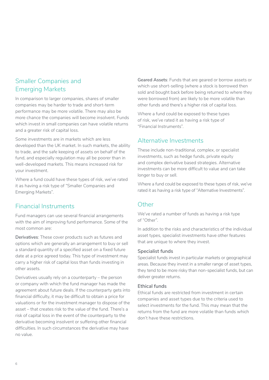## Smaller Companies and Emerging Markets

In comparison to larger companies, shares of smaller companies may be harder to trade and short-term performance may be more volatile. There may also be more chance the companies will become insolvent. Funds which invest in small companies can have volatile returns and a greater risk of capital loss.

Some investments are in markets which are less developed than the UK market. In such markets, the ability to trade, and the safe keeping of assets on behalf of the fund, and especially regulation may all be poorer than in well-developed markets. This means increased risk for your investment.

Where a fund could have these types of risk, we've rated it as having a risk type of "Smaller Companies and Emerging Markets".

## Financial Instruments

Fund managers can use several financial arrangements with the aim of improving fund performance. Some of the most common are:

**Derivatives**: These cover products such as futures and options which are generally an arrangement to buy or sell a standard quantity of a specified asset on a fixed future date at a price agreed today. This type of investment may carry a higher risk of capital loss than funds investing in other assets.

Derivatives usually rely on a counterparty – the person or company with which the fund manager has made the agreement about future deals. If the counterparty gets into financial difficulty, it may be difficult to obtain a price for valuations or for the investment manager to dispose of the asset – that creates risk to the value of the fund. There's a risk of capital loss in the event of the counterparty to the derivative becoming insolvent or suffering other financial difficulties. In such circumstances the derivative may have no value.

**Geared Assets**: Funds that are geared or borrow assets or which use short-selling (where a stock is borrowed then sold and bought back before being returned to where they were borrowed from) are likely to be more volatile than other funds and there's a higher risk of capital loss.

Where a fund could be exposed to these types of risk, we've rated it as having a risk type of "Financial Instruments".

## Alternative Investments

These include non-traditional, complex, or specialist investments, such as hedge funds, private equity and complex derivative based strategies. Alternative investments can be more difficult to value and can take longer to buy or sell.

Where a fund could be exposed to these types of risk, we've rated it as having a risk type of "Alternative Investments".

## Other

We've rated a number of funds as having a risk type of "Other".

In addition to the risks and characteristics of the individual asset types, specialist investments have other features that are unique to where they invest.

#### **Specialist funds**

Specialist funds invest in particular markets or geographical areas. Because they invest in a smaller range of asset types, they tend to be more risky than non-specialist funds, but can deliver greater returns.

#### **Ethical funds**

Ethical funds are restricted from investment in certain companies and asset types due to the criteria used to select investments for the fund. This may mean that the returns from the fund are more volatile than funds which don't have these restrictions.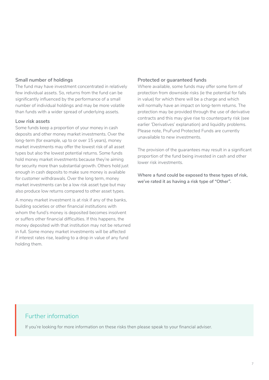#### **Small number of holdings**

The fund may have investment concentrated in relatively few individual assets. So, returns from the fund can be significantly influenced by the performance of a small number of individual holdings and may be more volatile than funds with a wider spread of underlying assets.

#### **Low risk assets**

Some funds keep a proportion of your money in cash deposits and other money market investments. Over the long-term (for example, up to or over 15 years), money market investments may offer the lowest risk of all asset types but also the lowest potential returns. Some funds hold money market investments because they're aiming for security more than substantial growth. Others hold just enough in cash deposits to make sure money is available for customer withdrawals. Over the long term, money market investments can be a low risk asset type but may also produce low returns compared to other asset types.

A money market investment is at risk if any of the banks, building societies or other financial institutions with whom the fund's money is deposited becomes insolvent or suffers other financial difficulties. If this happens, the money deposited with that institution may not be returned in full. Some money market investments will be affected if interest rates rise, leading to a drop in value of any fund holding them.

#### **Protected or guaranteed funds**

Where available, some funds may offer some form of protection from downside risks (ie the potential for falls in value) for which there will be a charge and which will normally have an impact on long-term returns. The protection may be provided through the use of derivative contracts and this may give rise to counterparty risk (see earlier 'Derivatives' explanation) and liquidity problems. Please note, PruFund Protected Funds are currently unavailable to new investments.

The provision of the guarantees may result in a significant proportion of the fund being invested in cash and other lower risk investments.

**Where a fund could be exposed to these types of risk, we've rated it as having a risk type of "Other".**

### Further information

If you're looking for more information on these risks then please speak to your financial adviser.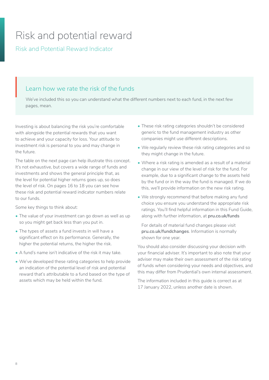# <span id="page-7-0"></span>Risk and potential reward

Risk and Potential Reward Indicator

# Learn how we rate the risk of the funds  $L \in$

We've included this so you can understand what the different numbers next to each fund, in the next few pages, mean.

Investing is about balancing the risk you're comfortable with alongside the potential rewards that you want to achieve and your capacity for loss. Your attitude to investment risk is personal to you and may change in the future.

The table on the next page can help illustrate this concept. It's not exhaustive, but covers a wide range of funds and investments and shows the general principle that, as the level for potential higher returns goes up, so does the level of risk. On pages 16 to 18 you can see how these risk and potential reward indicator numbers relate to our funds.

Some key things to think about:

- The value of your investment can go down as well as up so you might get back less than you put in.
- The types of assets a fund invests in will have a significant effect on its performance. Generally, the higher the potential returns, the higher the risk.
- A fund's name isn't indicative of the risk it may take.
- We've developed these rating categories to help provide an indication of the potential level of risk and potential reward that's attributable to a fund based on the type of assets which may be held within the fund.
- These risk rating categories shouldn't be considered generic to the fund management industry as other companies might use different descriptions.
- We regularly review these risk rating categories and so they might change in the future.
- Where a risk rating is amended as a result of a material change in our view of the level of risk for the fund. For example, due to a significant change to the assets held by the fund or in the way the fund is managed. If we do this, we'll provide information on the new risk rating.
- We strongly recommend that before making any fund choice you ensure you understand the appropriate risk ratings. You'll find helpful information in this Fund Guide, along with further information, at **[pru.co.uk/funds](https://www.pru.co.uk/funds)**

For details of material fund changes please visit **[pru.co.uk/fundchanges](http://www.pru.co.uk/fundchanges)**. Information is normally shown for one year.

You should also consider discussing your decision with your financial adviser. It's important to also note that your adviser may make their own assessment of the risk rating of funds when considering your needs and objectives, and this may differ from Prudential's own internal assessment.

The information included in this guide is correct as at 17 January 2022, unless another date is shown.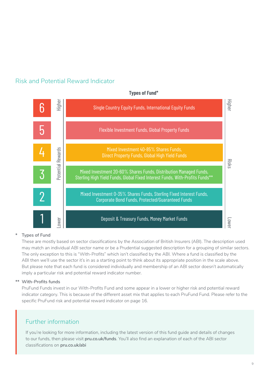## Risk and Potential Reward Indicator



#### **Types of Fund\***

#### **\* Types of Fund**

These are mostly based on sector classifications by the Association of British Insurers (ABI). The description used may match an individual ABI sector name or be a Prudential suggested description for a grouping of similar sectors. The only exception to this is "With-Profits" which isn't classified by the ABI. Where a fund is classified by the ABI then we'll use the sector it's in as a starting point to think about its appropriate position in the scale above. But please note that each fund is considered individually and membership of an ABI sector doesn't automatically imply a particular risk and potential reward indicator number.

#### **\*\* With-Profits funds**

PruFund Funds invest in our With-Profits Fund and some appear in a lower or higher risk and potential reward indicator category. This is because of the different asset mix that applies to each PruFund Fund. Please refer to the specific PruFund risk and potential reward indicator on page 16.

## Further information

If you're looking for more information, including the latest version of this fund guide and details of changes to our funds, then please visit **[pru.co.uk/funds](https://www.pru.co.uk/funds)**. You'll also find an explanation of each of the ABI sector classifications on **[pru.co.uk/abi](https://www.pru.co.uk/abi)**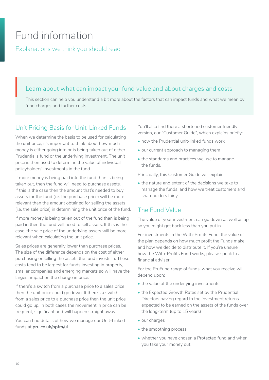# <span id="page-9-0"></span>Fund information

Explanations we think you should read

# Learn about what can impact your fund value and about charges and costs  $L \in$

This section can help you understand a bit more about the factors that can impact funds and what we mean by fund charges and further costs.

## Unit Pricing Basis for Unit-Linked Funds

When we determine the basis to be used for calculating the unit price, it's important to think about how much money is either going into or is being taken out of either Prudential's fund or the underlying investment. The unit price is then used to determine the value of individual policyholders' investments in the fund.

If more money is being paid into the fund than is being taken out, then the fund will need to purchase assets. If this is the case then the amount that's needed to buy assets for the fund (i.e. the purchase price) will be more relevant than the amount obtained for selling the assets (i.e. the sale price) in determining the unit price of the fund.

If more money is being taken out of the fund than is being paid in then the fund will need to sell assets. If this is the case, the sale price of the underlying assets will be more relevant when calculating the unit price.

Sales prices are generally lower than purchase prices. The size of the difference depends on the cost of either purchasing or selling the assets the fund invests in. These costs tend to be largest for funds investing in property, smaller companies and emerging markets so will have the largest impact on the change in price.

If there's a switch from a purchase price to a sales price then the unit price could go down. If there's a switch from a sales price to a purchase price then the unit price could go up. In both cases the movement in price can be frequent, significant and will happen straight away.

You can find details of how we manage our Unit-Linked funds at **[pru.co.uk/ppfm/ul](https://www.pru.co.uk/ppfm/ul)**

You'll also find there a shortened customer friendly version, our "Customer Guide", which explains briefly:

- how the Prudential unit-linked funds work
- our current approach to managing them
- the standards and practices we use to manage the funds.

Principally, this Customer Guide will explain:

• the nature and extent of the decisions we take to manage the funds, and how we treat customers and shareholders fairly.

## The Fund Value

The value of your investment can go down as well as up so you might get back less than you put in.

For investments in the With-Profits Fund, the value of the plan depends on how much profit the Funds make and how we decide to distribute it. If you're unsure how the With-Profits Fund works, please speak to a financial adviser.

For the PruFund range of funds, what you receive will depend upon:

- the value of the underlying investments
- the Expected Growth Rates set by the Prudential Directors having regard to the investment returns expected to be earned on the assets of the funds over the long-term (up to 15 years)
- our charges
- the smoothing process
- whether you have chosen a Protected fund and when you take your money out.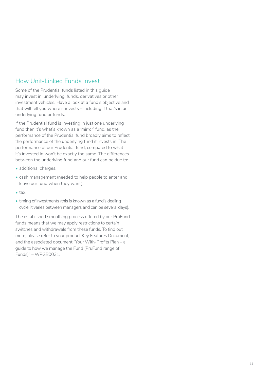## How Unit-Linked Funds Invest

Some of the Prudential funds listed in this guide may invest in 'underlying' funds, derivatives or other investment vehicles. Have a look at a fund's objective and that will tell you where it invests – including if that's in an underlying fund or funds.

If the Prudential fund is investing in just one underlying fund then it's what's known as a 'mirror' fund, as the performance of the Prudential fund broadly aims to reflect the performance of the underlying fund it invests in. The performance of our Prudential fund, compared to what it's invested in won't be exactly the same. The differences between the underlying fund and our fund can be due to:

- additional charges,
- cash management (needed to help people to enter and leave our fund when they want),
- tax,
- timing of investments (this is known as a fund's dealing cycle, it varies between managers and can be several days).

The established smoothing process offered by our PruFund funds means that we may apply restrictions to certain switches and withdrawals from these funds. To find out more, please refer to your product Key Features Document, and the associated document "Your With-Profits Plan – a guide to how we manage the Fund (PruFund range of Funds)" – WPGB0031.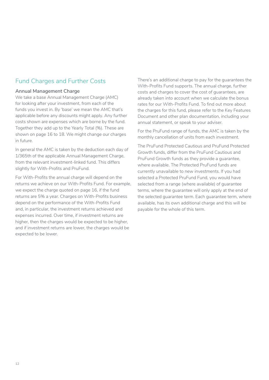## Fund Charges and Further Costs

#### **Annual Management Charge**

We take a base Annual Management Charge (AMC) for looking after your investment, from each of the funds you invest in. By 'base' we mean the AMC that's applicable before any discounts might apply. Any further costs shown are expenses which are borne by the fund. Together they add up to the Yearly Total (%). These are shown on page 16 to 18. We might change our charges in future.

In general the AMC is taken by the deduction each day of 1/365th of the applicable Annual Management Charge, from the relevant investment-linked fund. This differs slightly for With-Profits and PruFund.

For With-Profits the annual charge will depend on the returns we achieve on our With-Profits Fund. For example, we expect the charge quoted on page 16, if the fund returns are 5% a year. Charges on With-Profits business depend on the performance of the With-Profits Fund and, in particular, the investment returns achieved and expenses incurred. Over time, if investment returns are higher, then the charges would be expected to be higher. and if investment returns are lower, the charges would be expected to be lower.

There's an additional charge to pay for the guarantees the With-Profits Fund supports. The annual charge, further costs and charges to cover the cost of guarantees, are already taken into account when we calculate the bonus rates for our With-Profits Fund. To find out more about the charges for this fund, please refer to the Key Features Document and other plan documentation, including your annual statement, or speak to your adviser.

For the PruFund range of funds, the AMC is taken by the monthly cancellation of units from each investment.

The PruFund Protected Cautious and PruFund Protected Growth funds, differ from the PruFund Cautious and PruFund Growth funds as they provide a guarantee, where available. The Protected PruFund funds are currently unavailable to new investments. If you had selected a Protected PruFund Fund, you would have selected from a range (where available) of guarantee terms, where the guarantee will only apply at the end of the selected guarantee term. Each guarantee term, where available, has its own additional charge and this will be payable for the whole of this term.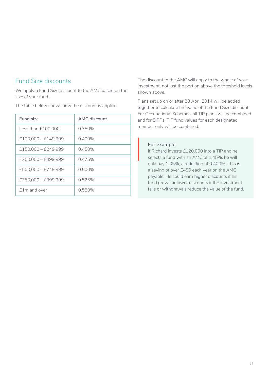### Fund Size discounts

We apply a Fund Size discount to the AMC based on the size of your fund.

The table below shows how the discount is applied.

| Fund size             | AMC discount |
|-----------------------|--------------|
| Less than £100,000    | 0.350%       |
| $£100,000 - £149,999$ | $0.400\%$    |
| £150.000 - £249.999   | 0.450%       |
| £250.000 - £499.999   | 0.475%       |
| £500,000 - £749,999   | $0.500\%$    |
| £750.000 - £999.999   | 0.525%       |
| f 1 m and over        | 0.550%       |

The discount to the AMC will apply to the whole of your investment, not just the portion above the threshold levels shown above.

Plans set up on or after 28 April 2014 will be added together to calculate the value of the Fund Size discount. For Occupational Schemes, all TIP plans will be combined and for SIPPs, TIP fund values for each designated member only will be combined.

#### **For example:**

If Richard invests £120,000 into a TIP and he selects a fund with an AMC of 1.45%, he will only pay 1.05%, a reduction of 0.400%. This is a saving of over £480 each year on the AMC payable. He could earn higher discounts if his fund grows or lower discounts if the investment falls or withdrawals reduce the value of the fund.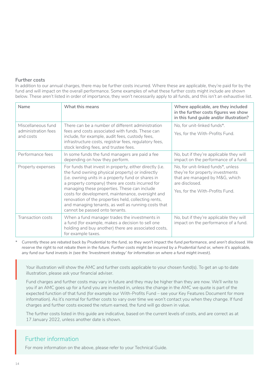#### **Further costs**

In addition to our annual charges, there may be further costs incurred. Where these are applicable, they're paid for by the fund and will impact on the overall performance. Some examples of what these further costs might include are shown below. These aren't listed in order of importance, they won't necessarily apply to all funds, and this isn't an exhaustive list.

| Name                                                   | What this means                                                                                                                                                                                                                                                                                                                                                                                                                                                              | Where applicable, are they included<br>in the further costs figures we show<br>in this fund guide and/or illustration?                                        |
|--------------------------------------------------------|------------------------------------------------------------------------------------------------------------------------------------------------------------------------------------------------------------------------------------------------------------------------------------------------------------------------------------------------------------------------------------------------------------------------------------------------------------------------------|---------------------------------------------------------------------------------------------------------------------------------------------------------------|
| Miscellaneous fund<br>administration fees<br>and costs | There can be a number of different administration<br>fees and costs associated with funds. These can<br>include, for example, audit fees, custody fees,<br>infrastructure costs, registrar fees, regulatory fees,<br>stock lending fees, and trustee fees.                                                                                                                                                                                                                   | No, for unit-linked funds*.<br>Yes, for the With-Profits Fund.                                                                                                |
| Performance fees                                       | In some funds the fund managers are paid a fee<br>depending on how they perform.                                                                                                                                                                                                                                                                                                                                                                                             | No, but if they're applicable they will<br>impact on the performance of a fund.                                                                               |
| Property expenses                                      | For funds that invest in property, either directly (i.e.<br>the fund owning physical property) or indirectly<br>(i.e. owning units in a property fund or shares in<br>a property company) there are costs incurred for<br>managing these properties. These can include<br>costs for development, maintenance, oversight and<br>renovation of the properties held, collecting rents,<br>and managing tenants, as well as running costs that<br>cannot be passed onto tenants. | No, for unit-linked funds*, unless<br>they're for property investments<br>that are managed by M&G, which<br>are disclosed.<br>Yes, for the With-Profits Fund. |
| Transaction costs                                      | When a fund manager trades the investments in<br>a fund (for example, makes a decision to sell one<br>holding and buy another) there are associated costs,<br>for example taxes.                                                                                                                                                                                                                                                                                             | No, but if they're applicable they will<br>impact on the performance of a fund.                                                                               |

*\* Currently these are rebated back by Prudential to the fund, so they won't impact the fund performance, and aren't disclosed. We reserve the right to not rebate them in the future. Further costs might be incurred by a Prudential fund or, where it's applicable, any fund our fund invests in (see the 'Investment strategy' for information on where a fund might invest).* 

Your illustration will show the AMC and further costs applicable to your chosen fund(s). To get an up to date illustration, please ask your financial adviser.  $\left| \begin{array}{c} \gamma_{\rm C} \\ \text{illt} \\ \text{FL} \end{array} \right|$ 

Fund charges and further costs may vary in future and they may be higher than they are now. We'll write to you if an AMC goes up for a fund you are invested in, unless the change in the AMC we quote is part of the expected function of that fund (for example our With-Profits Fund – see your Key Features Document for more information). As it's normal for further costs to vary over time we won't contact you when they change. If fund charges and further costs exceed the return earned, the fund will go down in value.

The further costs listed in this guide are indicative, based on the current levels of costs, and are correct as at 17 January 2022, unless another date is shown.

#### Further information

For more information on the above, please refer to your Technical Guide.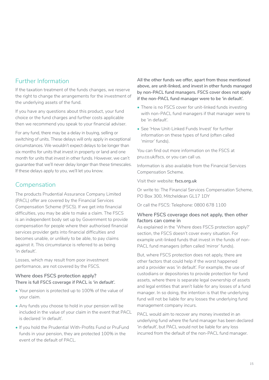## Further Information

If the taxation treatment of the funds changes, we reserve the right to change the arrangements for the investment of the underlying assets of the fund.

If you have any questions about this product, your fund choice or the fund charges and further costs applicable then we recommend you speak to your financial adviser.

For any fund, there may be a delay in buying, selling or switching of units. These delays will only apply in exceptional circumstances. We wouldn't expect delays to be longer than six months for units that invest in property or land and one month for units that invest in other funds. However, we can't guarantee that we'll never delay longer than these timescales. If these delays apply to you, we'll let you know.

## Compensation

The products Prudential Assurance Company Limited (PACL) offer are covered by the Financial Services Compensation Scheme (FSCS). If we get into financial difficulties, you may be able to make a claim. The FSCS is an independent body set up by Government to provide compensation for people where their authorised financial services provider gets into financial difficulties and becomes unable, or unlikely to be able, to pay claims against it. This circumstance is referred to as being 'in default'.

Losses, which may result from poor investment performance, are not covered by the FSCS.

#### **Where does FSCS protection apply? There is full FSCS coverage if PACL is 'in default'.**

- Your pension is protected up to 100% of the value of your claim.
- Any funds you choose to hold in your pension will be included in the value of your claim in the event that PACL is declared 'in default'.
- If you hold the Prudential With-Profits Fund or PruFund funds in your pension, they are protected 100% in the event of the default of PACL.

**All the other funds we offer, apart from those mentioned above, are unit-linked, and invest in other funds managed by non-PACL fund managers. FSCS cover does not apply if the non-PACL fund manager were to be 'in default'.** 

- There is no FSCS cover for unit-linked funds investing with non-PACL fund managers if that manager were to be 'in default'.
- See 'How Unit-Linked Funds Invest' for further information on these types of fund (often called 'mirror' funds).

You can find out more information on the FSCS at [pru.co.uk/fscs](https://www.pru.co.uk/fscs), or you can call us.

Information is also available from the Financial Services Compensation Scheme.

Visit their website: **[fscs.org.uk](https://www.fscs.org.uk)**

Or write to: The Financial Services Compensation Scheme, PO Box 300, Mitcheldean GL17 1DY

Or call the FSCS: Telephone: 0800 678 1100

#### **Where FSCS coverage does not apply, then other factors can come in**

As explained in the 'Where does FSCS protection apply?' section, the FSCS doesn't cover every situation. For example unit-linked funds that invest in the funds of non-PACL fund managers (often called 'mirror' funds).

But, where FSCS protection does not apply, there are other factors that could help if the worst happened and a provider was 'in default'. For example, the use of custodians or depositories to provide protection for fund assets, where there is separate legal ownership of assets and legal entities that aren't liable for any losses of a fund manager. In so doing, the intention is that the underlying fund will not be liable for any losses the underlying fund management company incurs.

PACL would aim to recover any money invested in an underlying fund where the fund manager has been declared 'in default', but PACL would not be liable for any loss incurred from the default of the non-PACL fund manager.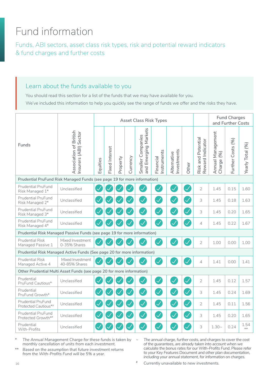# <span id="page-15-0"></span>Fund information

Funds, ABI sectors, asset class risk types, risk and potential reward indicators & fund charges and further costs

## Learn about the funds available to you

You should read this section for a list of the funds that we may have available for you.

We've included this information to help you quickly see the range of funds we offer and the risks they have.

|                                                                          |                                                 |          | <b>Asset Class Risk Types</b> |          |          |                                           |                         |                           |                          |                                        | <b>Fund Charges</b><br>and Further Costs |                   |                  |
|--------------------------------------------------------------------------|-------------------------------------------------|----------|-------------------------------|----------|----------|-------------------------------------------|-------------------------|---------------------------|--------------------------|----------------------------------------|------------------------------------------|-------------------|------------------|
| Funds                                                                    | Association of British<br>Insurers (ABI) Sector | Equities | <b>Fixed Interest</b>         | Property | Currency | and Emerging Markets<br>Smaller Companies | nstruments<br>Financial | nvestments<br>Alternative | Other                    | Risk and Potential<br>Reward Indicator | Annual Management<br>(96)<br>Charge (    | Further Costs (%) | Yearly Total (%) |
| Prudential PruFund Risk Managed Funds (see page 19 for more information) |                                                 |          |                               |          |          |                                           |                         |                           |                          |                                        |                                          |                   |                  |
| <b>Prudential PruFund</b><br>Risk Managed 1*                             | Unclassified                                    |          |                               |          |          |                                           | $\checkmark$            | $\blacktriangledown$      | $\checkmark$             | $\overline{2}$                         | 1.45                                     | 0.15              | 1.60             |
| Prudential PruFund<br>Risk Managed 2*                                    | Unclassified                                    |          |                               |          |          | $\checkmark$                              | $\checkmark$            | $\checkmark$              |                          | 3                                      | 1.45                                     | 0.18              | 1.63             |
| Prudential PruFund<br>Risk Managed 3*                                    | Unclassified                                    |          |                               |          |          | $\checkmark$                              | $\checkmark$            | $\checkmark$              |                          | 3                                      | 1.45                                     | 0.20              | 1.65             |
| Prudential PruFund<br>Risk Managed 4*                                    | Unclassified                                    |          |                               |          |          |                                           |                         |                           |                          | $\overline{4}$                         | 1.45                                     | 0.22              | 1.67             |
| Prudential Risk Managed Passive Funds (see page 19 for more information) |                                                 |          |                               |          |          |                                           |                         |                           |                          |                                        |                                          |                   |                  |
| <b>Prudential Risk</b><br>Managed Passive 1                              | Mixed Investment<br>0-35% Shares                |          |                               |          |          |                                           |                         |                           |                          | $\overline{2}$                         | 1.00                                     | 0.00              | 1.00             |
| Prudential Risk Managed Active Funds (See page 20 for more information)  |                                                 |          |                               |          |          |                                           |                         |                           |                          |                                        |                                          |                   |                  |
| <b>Prudential Risk</b><br>Managed Active 4                               | Mixed Investment<br>40-85% Shares               |          |                               |          |          |                                           |                         |                           |                          | $\overline{4}$                         | 1.41                                     | 0.00              | 1.41             |
| Other Prudential Multi Asset Funds (see page 20 for more information)    |                                                 |          |                               |          |          |                                           |                         |                           |                          |                                        |                                          |                   |                  |
| Prudential<br>PruFund Cautious*                                          | Unclassified                                    |          |                               |          |          | $\checkmark$                              | $\mathcal{A}$           | $\overline{\checkmark}$   | $\checkmark$             | $\overline{2}$                         | 1.45                                     | 0.12              | 1.57             |
| Prudential<br>PruFund Growth*                                            | Unclassified                                    |          |                               |          |          | $\checkmark$                              | $\checkmark$            | $\checkmark$              | $\overline{\checkmark}$  | 3                                      | 1.45                                     | 0.24              | 1.69             |
| <b>Prudential PruFund</b><br>Protected Cautious*#                        | Unclassified                                    |          |                               |          |          | $\checkmark$                              | $\checkmark$            | $\checkmark$              | $\checkmark$             | $\overline{2}$                         | 1.45                                     | 0.11              | 1.56             |
| <b>Prudential PruFund</b><br>Protected Growth*#                          | Unclassified                                    |          |                               |          |          | $\checkmark$                              | $\checkmark$            | $\checkmark$              | $\overline{\mathscr{S}}$ | 3                                      | 1.45                                     | 0.20              | 1.65             |
| Prudential<br>With-Profits                                               | Unclassified                                    |          |                               |          |          |                                           |                         |                           |                          | 3                                      | $1.30-$                                  | 0.24              | 1.54<br>$***$    |

*\* The Annual Management Charge for these funds is taken by monthly cancellation of units from each investment.*

*\*\* Based on the assumption that future investment returns from the With-Profits Fund will be 5% a year.*

*~ The annual charge, further costs, and charges to cover the cost of the guarantees, are already taken into account when we calculate the bonus rates for our With-Profits Fund. Please refer to your Key Features Document and other plan documentation, including your annual statement, for information on charges.*

# *Currently unavailable to new investments.*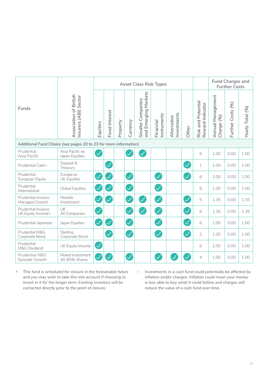|                                                                  |                                                 |                          | <b>Asset Class Risk Types</b> |          |                          |                                           |                          |                            |                          |                                        | <b>Fund Charges and</b><br><b>Further Costs</b> |                   |                  |  |
|------------------------------------------------------------------|-------------------------------------------------|--------------------------|-------------------------------|----------|--------------------------|-------------------------------------------|--------------------------|----------------------------|--------------------------|----------------------------------------|-------------------------------------------------|-------------------|------------------|--|
| Funds                                                            | Association of British<br>Insurers (ABI) Sector | Equities                 | <b>Fixed Interest</b>         | Property | Currency                 | and Emerging Markets<br>Smaller Companies | Instruments<br>Financial | Investments<br>Alternative | Other                    | Risk and Potential<br>Reward Indicator | Annual Management<br>(96)<br>Charge (           | Further Costs (%) | Yearly Total (%) |  |
| Additional Fund Choice (see pages 20 to 23 for more information) |                                                 |                          |                               |          |                          |                                           |                          |                            |                          |                                        |                                                 |                   |                  |  |
| Prudential<br>Asia Pacific                                       | Asia Pacific ex<br>Japan Equities               | $\overline{\mathcal{S}}$ |                               |          |                          | $\checkmark$                              |                          |                            |                          | 6                                      | 1.00                                            | 0.00              | 1.00             |  |
| Prudential Cash~                                                 | Deposit &<br>Treasury                           |                          | $\checkmark$                  |          |                          |                                           |                          |                            | $\overline{\mathcal{S}}$ | $\mathbf{1}$                           | 1.00                                            | 0.00              | 1.00             |  |
| Prudential<br>European Equity                                    | Europe ex<br><b>UK Equities</b>                 | $\bigtriangledown$       |                               |          | $\overline{\mathcal{S}}$ |                                           | $\mathcal{\mathcal{A}}$  |                            | $\overline{\mathscr{S}}$ | 6                                      | 1.00                                            | 0.00              | 1.00             |  |
| Prudential<br>International                                      | <b>Global Equities</b>                          | <b>V</b>                 |                               |          | $\overline{\checkmark}$  |                                           | $\checkmark$             |                            |                          | 6                                      | 1.00                                            | 0.00              | 1.00             |  |
| Prudential Invesco<br>Managed Growth                             | Flexible<br>Investment                          | V                        | $\checkmark$                  |          | <b>A</b>                 | $\mathcal{S}$                             | $\checkmark$             |                            | $\overline{\mathcal{S}}$ | 5                                      | 1.35                                            | 0.00              | 1.35             |  |
| Prudential Invesco<br>UK Equity Income^                          | UK<br>All Companies                             | $\mathcal{A}$            |                               |          | $\mathcal{S}$            | $\blacktriangledown$                      | $\overline{\mathcal{S}}$ |                            | $\overline{\checkmark}$  | 6                                      | 1.35                                            | 0.00              | 1.35             |  |
| Prudential Japanese                                              | Japan Equities                                  | $\mathcal{A}$            | $\checkmark$                  |          | $\bigvee$                |                                           | $\checkmark$             |                            | $\bigvee$                | 6                                      | 1.00                                            | 0.00              | 1.00             |  |
| Prudential M&G<br>Corporate Bond                                 | Sterling<br>Corporate Bond                      |                          | $\checkmark$                  |          | $\overline{\mathcal{S}}$ |                                           | $\checkmark$             |                            | $\overline{\checkmark}$  | $\overline{2}$                         | 1.00                                            | 0.00              | 1.00             |  |
| Prudential<br>M&G Dividend                                       | UK Equity Income                                | $\mathcal{A}$            |                               |          |                          |                                           |                          |                            |                          | 6                                      | 1.00                                            | 0.00              | 1.00             |  |
| Prudential M&G<br>Episode Growth                                 | Mixed Investment<br>40-85% Shares               |                          |                               |          | $\checkmark$             |                                           |                          |                            |                          | $\overline{4}$                         | 1.00                                            | 0.00              | 1.00             |  |

*^ This fund is scheduled for closure in the foreseeable future and you may wish to take this into account if choosing to invest in it for the longer term. Existing investors will be contacted directly prior to the point of closure.*

*~ Investments in a cash fund could potentially be affected by inflation and/or charges. Inflation could mean your money is less able to buy what it could before and charges will reduce the value of a cash fund over time.*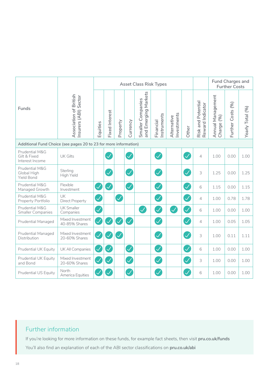|                                                                  |                                                 | <b>Asset Class Risk Types</b> |                       |              |               |                                           |                          |                            |                         |                                        | <b>Fund Charges and</b><br><b>Further Costs</b> |                   |                  |
|------------------------------------------------------------------|-------------------------------------------------|-------------------------------|-----------------------|--------------|---------------|-------------------------------------------|--------------------------|----------------------------|-------------------------|----------------------------------------|-------------------------------------------------|-------------------|------------------|
| Funds                                                            | Association of British<br>Insurers (ABI) Sector | Equities                      | <b>Fixed Interest</b> | Property     | Currency      | and Emerging Markets<br>Smaller Companies | Instruments<br>Financial | Investments<br>Alternative | Other                   | Risk and Potential<br>Reward Indicator | Annual Management<br>(96)<br>Charge             | Further Costs (%) | Yearly Total (%) |
| Additional Fund Choice (see pages 20 to 23 for more information) |                                                 |                               |                       |              |               |                                           |                          |                            |                         |                                        |                                                 |                   |                  |
| Prudential M&G<br>Gilt & Fixed<br>Interest Income                | <b>UK Gilts</b>                                 |                               |                       |              | $\checkmark$  |                                           | $\checkmark$             |                            | $\overline{\checkmark}$ | $\overline{4}$                         | 1.00                                            | 0.00              | 1.00             |
| Prudential M&G<br>Global High<br>Yield Bond                      | Sterling<br>High Yield                          |                               |                       |              | $\mathcal{S}$ |                                           | $\checkmark$             |                            | $\overline{\checkmark}$ | 3                                      | 1.25                                            | 0.00              | 1.25             |
| Prudential M&G<br>Managed Growth                                 | Flexible<br>Investment                          | $\mathcal{\mathcal{A}}$       | $\checkmark$          |              | $\checkmark$  |                                           | $\checkmark$             |                            | $\overline{\checkmark}$ | 6                                      | 1.15                                            | 0.00              | 1.15             |
| Prudential M&G<br>Property Portfolio                             | UK<br><b>Direct Property</b>                    | $\mathcal{S}$                 |                       |              |               |                                           |                          |                            | $\bigvee$               | $\overline{4}$                         | 1.00                                            | 0.78              | 1.78             |
| Prudential M&G<br><b>Smaller Companies</b>                       | <b>UK Smaller</b><br>Companies                  | 0                             |                       |              |               | $\blacktriangledown$                      | $\checkmark$             | $\checkmark$               | $\checkmark$            | 6                                      | 1.00                                            | 0.00              | 1.00             |
| <b>Prudential Managed</b>                                        | Mixed Investment<br>40-85% Shares               | $\mathcal{S}$                 | $\checkmark$          | $\checkmark$ | $\checkmark$  |                                           | $\mathcal{S}$            |                            | $\mathcal{\mathcal{A}}$ | $\overline{4}$                         | 1.00                                            | 0.05              | 1.05             |
| <b>Prudential Managed</b><br>Distribution                        | Mixed Investment<br>20-60% Shares               | $\mathcal{S}$                 |                       |              |               |                                           | $\overline{\checkmark}$  |                            | $\overline{\checkmark}$ | 3                                      | 1.00                                            | 0.11              | 1.11             |
| Prudential UK Equity                                             | UK All Companies                                | <b>A</b>                      |                       |              | $\mathcal{S}$ |                                           | $\checkmark$             |                            | $\overline{\checkmark}$ | 6                                      | 1.00                                            | 0.00              | 1.00             |
| Prudential UK Equity<br>and Bond                                 | Mixed Investment<br>20-60% Shares               |                               |                       |              | $\bigvee$     |                                           | $\overline{\checkmark}$  |                            | $\mathcal{S}$           | 3                                      | 1.00                                            | 0.00              | 1.00             |
| <b>Prudential US Equity</b>                                      | North<br>America Equities                       |                               |                       |              | $\checkmark$  |                                           | $\checkmark$             |                            | $\overline{\checkmark}$ | 6                                      | 1.00                                            | 0.00              | 1.00             |

## Further information

If you're looking for more information on these funds, for example fact sheets, then visit **[pru.co.uk/funds](https://www.pru.co.uk/funds)** You'll also find an explanation of each of the ABI sector classifications on **[pru.co.uk/abi](https://www.pru.co.uk/abi)**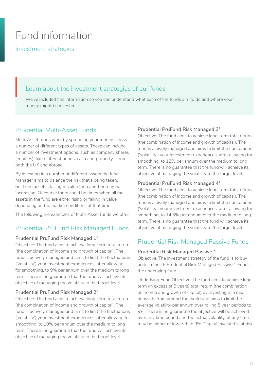# <span id="page-18-0"></span>Fund information

Investment strategies

# Learn about the investment strategies of our funds  $L \in$

We've included this information so you can understand what each of the funds aim to do and where your money might be invested.

## Prudential Multi-Asset Funds

Multi-Asset funds work by spreading your money across a number of different types of assets. These can include a number of investment options, such as company shares (equities), fixed interest bonds, cash and property – from both the UK and abroad.

By investing in a number of different assets the fund manager aims to balance the risk that's being taken. So if one asset is falling in value then another may be increasing. Of course there could be times when all the assets in the fund are either rising or falling in value depending on the market conditions at that time.

The following are examples of Multi-Asset funds we offer.

## Prudential PruFund Risk Managed Funds

#### **Prudential PruFund Risk Managed 11**

Objective: The fund aims to achieve long-term total return (the combination of income and growth of capital). The fund is actively managed and aims to limit the fluctuations ('volatility') your investment experiences, after allowing for smoothing, to 9% per annum over the medium to long term. There is no guarantee that the fund will achieve its objective of managing the volatility to the target level.

#### **Prudential PruFund Risk Managed 21**

Objective: The fund aims to achieve long-term total return (the combination of income and growth of capital). The fund is actively managed and aims to limit the fluctuations ('volatility') your investment experiences, after allowing for smoothing, to 10% per annum over the medium to long term. There is no guarantee that the fund will achieve its objective of managing the volatility to the target level.

#### **Prudential PruFund Risk Managed 31**

Objective: The fund aims to achieve long-term total return (the combination of income and growth of capital). The fund is actively managed and aims to limit the fluctuations ('volatility') your investment experiences, after allowing for smoothing, to 12% per annum over the medium to long term. There is no guarantee that the fund will achieve its objective of managing the volatility to the target level.

#### **Prudential PruFund Risk Managed 41**

Objective: The fund aims to achieve long-term total return (the combination of income and growth of capital). The fund is actively managed and aims to limit the fluctuations ('volatility') your investment experiences, after allowing for smoothing, to 14.5% per annum over the medium to long term. There is no guarantee that the fund will achieve its objective of managing the volatility to the target level.

## Prudential Risk Managed Passive Funds

#### **Prudential Risk Managed Passive 1**

Objective: The investment strategy of the fund is to buy units in the LF Prudential Risk Managed Passive 1 Fund – the underlying fund.

Underlying Fund Objective: The fund aims to achieve longterm (in excess of 5 years) total return (the combination of income and growth of capital) by investing in a mix of assets from around the world and aims to limit the average volatility per annum over rolling 5 year periods to 9%. There is no guarantee the objective will be achieved over any time period and the actual volatility, at any time, may be higher or lower than 9%. Capital invested is at risk.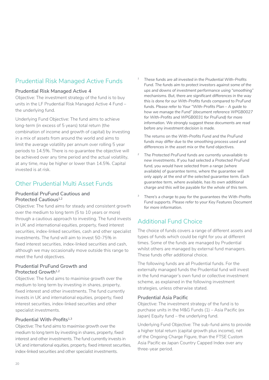## Prudential Risk Managed Active Funds

#### **Prudential Risk Managed Active 4**

Objective: The investment strategy of the fund is to buy units in the LF Prudential Risk Managed Active 4 Fund – the underlying fund.

Underlying Fund Objective: The fund aims to achieve long-term (in excess of 5 years) total return (the combination of income and growth of capital) by investing in a mix of assets from around the world and aims to limit the average volatility per annum over rolling 5 year periods to 14.5%. There is no guarantee the objective will be achieved over any time period and the actual volatility, at any time, may be higher or lower than 14.5%. Capital invested is at risk.

## Other Prudential Multi Asset Funds

#### **Prudential PruFund Cautious and Protected Cautious**<sup>1,2</sup>

Objective: The fund aims for steady and consistent growth over the medium to long term (5 to 10 years or more) through a cautious approach to investing. The fund invests in UK and international equities, property, fixed interest securities, index-linked securities, cash and other specialist investments. The fund will aim to invest 50-75% in fixed interest securities, index-linked securities and cash, although we may occasionally move outside this range to meet the fund objectives.

#### **Prudential PruFund Growth and Protected Growth1,2**

Objective: The fund aims to maximise growth over the medium to long term by investing in shares, property, fixed interest and other investments. The fund currently invests in UK and international equities, property, fixed interest securities, index-linked securities and other specialist investments.

#### **Prudential With-Profits1,3**

Objective: The fund aims to maximise growth over the medium to long term by investing in shares, property, fixed interest and other investments. The fund currently invests in UK and international equities, property, fixed interest securities, index-linked securities and other specialist investments.

*<sup>1</sup> These funds are all invested in the Prudential With-Profits Fund. The funds aim to protect investors against some of the ups and downs of investment performance using "smoothing" mechanisms. But, there are significant differences in the way this is done for our With-Profits funds compared to PruFund funds. Please refer to Your "With-Profits Plan – A guide to how we manage the Fund" (document reference WPGB0027 for With-Profits and WPGB0031 for PruFund) for more information. We strongly suggest these documents are read before any investment decision is made.* 

*The returns on the With-Profits Fund and the PruFund funds may differ due to the smoothing process used and differences in the asset mix or the fund objectives.*

- *<sup>2</sup> The Protected PruFund funds are currently unavailable to new investments. If you had selected a Protected PruFund fund, you would have selected from a range (where*  available) of quarantee terms, where the quarantee will *only apply at the end of the selected guarantee term. Each guarantee term, where available, has its own additional charge and this will be payable for the whole of this term.*
- *<sup>3</sup> There's a charge to pay for the guarantees the With-Profits Fund supports. Please refer to your Key Features Document for more information.*

## Additional Fund Choice

The choice of funds covers a range of different assets and types of funds which could be right for you at different times. Some of the funds are managed by Prudential whilst others are managed by external fund managers. These funds offer additional choice.

The following funds are all Prudential funds. For the externally managed funds the Prudential fund will invest in the fund manager's own fund or collective investment scheme, as explained in the following investment strategies, unless otherwise stated.

#### **Prudential Asia Pacific**

Objective: The investment strategy of the fund is to purchase units in the M&G Funds (1) – Asia Pacific (ex Japan) Equity fund – the underlying fund.

Underlying Fund Objective: The sub-fund aims to provide a higher total return (capital growth plus income), net of the Ongoing Charge Figure, than the FTSE Custom Asia Pacific ex Japan Country Capped Index over any three-year period.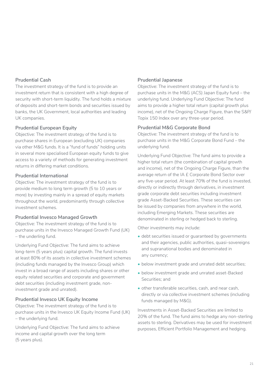#### **Prudential Cash**

The investment strategy of the fund is to provide an investment return that is consistent with a high degree of security with short-term liquidity. The fund holds a mixture of deposits and short-term bonds and securities issued by banks, the UK Government, local authorities and leading UK companies.

#### **Prudential European Equity**

Objective: The investment strategy of the fund is to purchase shares in European (excluding UK) companies via other M&G funds. It is a "fund of funds" holding units in several more specialised European equity funds to give access to a variety of methods for generating investment returns in differing market conditions.

#### **Prudential International**

Objective: The investment strategy of the fund is to provide medium to long term growth (5 to 10 years or more) by investing mainly in a spread of equity markets throughout the world, predominantly through collective investment schemes.

#### **Prudential Invesco Managed Growth**

Objective: The investment strategy of the fund is to purchase units in the Invesco Managed Growth Fund (UK) – the underling fund.

Underlying Fund Objective: The fund aims to achieve long-term (5 years plus) capital growth. The fund invests at least 80% of its assets in collective investment schemes (including funds managed by the Invesco Group) which invest in a broad range of assets including shares or other equity related securities and corporate and government debt securities (including investment grade, noninvestment grade and unrated).

#### **Prudential Invesco UK Equity Income**

Objective: The investment strategy of the fund is to purchase units in the Invesco UK Equity Income Fund (UK) – the underlying fund.

Underlying Fund Objective: The fund aims to achieve income and capital growth over the long term (5 years plus).

#### **Prudential Japanese**

Objective: The investment strategy of the fund is to purchase units in the M&G (ACS) Japan Equity fund – the underlying fund. Underlying Fund Objective: The fund aims to provide a higher total return (capital growth plus income), net of the Ongoing Charge Figure, than the S&P/ Topix 150 Index over any three-year period.

#### **Prudential M&G Corporate Bond**

Objective: The investment strategy of the fund is to purchase units in the M&G Corporate Bond Fund – the underlying fund.

Underlying Fund Objective: The fund aims to provide a higher total return (the combination of capital growth and income), net of the Ongoing Charge Figure, than the average return of the IA £ Corporate Bond Sector over any five-year period. At least 70% of the fund is invested, directly or indirectly through derivatives, in investment grade corporate debt securities including investment grade Asset-Backed Securities. These securities can be issued by companies from anywhere in the world, including Emerging Markets. These securities are denominated in sterling or hedged back to sterling.

Other investments may include:

- debt securities issued or guaranteed by governments and their agencies, public authorities, quasi-sovereigns and supranational bodies and denominated in any currency;
- below investment grade and unrated debt securities;
- below investment grade and unrated asset-Backed Securities; and
- other transferable securities, cash, and near cash, directly or via collective investment schemes (including funds managed by M&G).

Investments in Asset-Backed Securities are limited to 20% of the fund. The fund aims to hedge any non-sterling assets to sterling. Derivatives may be used for investment purposes, Efficient Portfolio Management and hedging.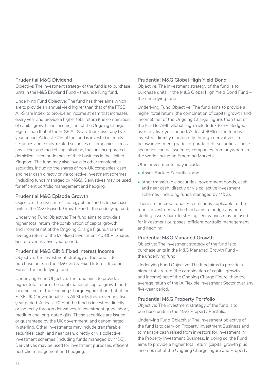#### **Prudential M&G Dividend**

Objective: The investment strategy of the fund is to purchase units in the M&G Dividend Fund – the underlying fund.

Underlying Fund Objective: The fund has three aims which are to provide an annual yield higher than that of the FTSE All-Share Index, to provide an income stream that increases every year and provide a higher total return (the combination of capital growth and income), net of the Ongoing Charge Figure, than that of the FTSE All-Share Index over any fiveyear period. At least 70% of the fund is invested in equity securities and equity-related securities of companies across any sector and market capitalisation, that are incorporated, domiciled, listed or do most of their business in the United Kingdom. The fund may also invest in other transferable securities, including the shares of non-UK companies, cash and near cash directly or via collective investment schemes (including funds managed by M&G). Derivatives may be used for efficient portfolio management and hedging.

#### **Prudential M&G Episode Growth**

Objective: The investment strategy of the fund is to purchase units in the M&G Episode Growth Fund – the underlying fund.

Underlying Fund Objective: The fund aims to provide a higher total return (the combination of capital growth and income) net of the Ongoing Charge Figure, than the average return of the IA Mixed Investment 40-85% Shares Sector over any five-year period.

#### **Prudential M&G Gilt & Fixed Interest Income**

Objective: The investment strategy of the fund is to purchase units in the M&G Gilt & Fixed Interest Income Fund – the underlying fund.

Underlying Fund Objective: The fund aims to provide a higher total return (the combination of capital growth and income), net of the Ongoing Charge Figure, than that of the FTSE UK Conventional Gilts All Stocks Index over any fiveyear period. At least 70% of the fund is invested, directly or indirectly through derivatives, in investment grade short, medium and long-dated gilts. These securities are issued or guaranteed by the UK government, and denominated in sterling. Other investments may include transferable securities, cash, and near cash, directly or via collective investment schemes (including funds managed by M&G). Derivatives may be used for investment purposes, efficient portfolio management and hedging.

#### **Prudential M&G Global High Yield Bond**

Objective: The investment strategy of the fund is to purchase units in the M&G Global High Yield Bond Fund – the underlying fund.

Underlying Fund Objective: The fund aims to provide a higher total return (the combination of capital growth and income), net of the Ongoing Charge Figure, than that of the ICE BofAML Global High Yield Index (GBP Hedged) over any five-year period. At least 80% of the fund is invested, directly or indirectly through derivatives, in below investment grade corporate debt securities. These securities can be issued by companies from anywhere in the world, including Emerging Markets.

Other investments may include:

- Asset-Backed Securities, and
- other transferable securities, government bonds, cash, and near cash, directly or via collective investment schemes (including funds managed by M&G).

There are no credit quality restrictions applicable to the fund's investments. The fund aims to hedge any nonsterling assets back to sterling. Derivatives may be used for investment purposes, efficient portfolio management and hedging.

#### **Prudential M&G Managed Growth**

Objective: The investment strategy of the fund is to purchase units in the M&G Managed Growth Fund – the underlying fund.

Underlying Fund Objective: The fund aims to provide a higher total return (the combination of capital growth and income) net of the Ongoing Charge Figure, than the average return of the IA Flexible Investment Sector over any five-year period.

#### **Prudential M&G Property Portfolio**

Objective: The investment strategy of the fund is to purchase units in the M&G Property Portfolio.

Underlying Fund Objective: The investment objective of the fund is to carry on Property Investment Business and to manage cash raised from investors for investment in the Property Investment Business. In doing so, the Fund aims to provide a higher total return (capital growth plus income), net of the Ongoing Charge Figure and Property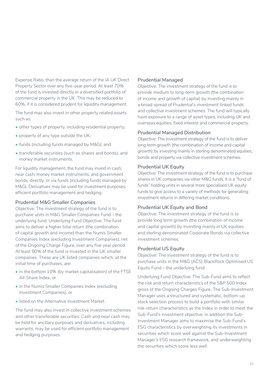Expense Ratio, than the average return of the IA UK Direct Property Sector over any five-year period. At least 70% of the fund is invested directly in a diversified portfolio of commercial property in the UK. This may be reduced to 60%, if it is considered prudent for liquidity management.

The fund may also invest in other property related assets such as:

- other types of property, including residential property;
- property of any type outside the UK;
- funds (including funds managed by M&G); and
- transferable securities (such as shares and bonds); and money market instruments.

For liquidity management, the fund may invest in cash; near cash; money market instruments; and government bonds, directly, or via funds (including funds managed by M&G). Derivatives may be used for investment purposes, efficient portfolio management and hedging.

#### **Prudential M&G Smaller Companies**

Objective: The investment strategy of the fund is to purchase units in M&G Smaller Companies Fund – the underlying fund. Underlying Fund Objective: The fund aims to deliver a higher total return (the combination of capital growth and income) than the Numis Smaller Companies Index (excluding Investment Companies), net of the Ongoing Charge Figure, over any five year period. At least 80% of the fund is invested in the UK smaller companies. These are UK listed companies which, at the initial time of purchases, are:

- in the bottom 10% (by market capitalisation) of the FTSE All-Share Index, or
- in the Numis Smaller Companies Index (excluding Investment Companies), or
- listed on the Alternative Investment Market.

The fund may also invest in collective investment schemes and other transferable securities. Cash and near cash may be held for ancillary purposes and derivatives, including warrants, may be used for efficient portfolio management and hedging purposes.

#### **Prudential Managed**

Objective: The investment strategy of the fund is to provide medium to long-term growth (the combination of income and growth of capital) by investing mainly in a broad spread of Prudential's investment-linked funds and collective investment schemes. The fund will typically have exposure to a range of asset types, including UK and overseas equities, fixed interest and commercial property.

#### **Prudential Managed Distribution**

Objective: The Investment strategy of the fund is to deliver long term growth (the combination of income and capital growth) by investing mainly in sterling denominated equities, bonds and property via collective investment schemes.

#### **Prudential UK Equity**

Objective: The investment strategy of the fund is to purchase shares in UK companies via other M&G funds. It is a "fund of funds" holding units in several more specialised UK equity funds to give access to a variety of methods for generating investment returns in differing market conditions.

#### **Prudential UK Equity and Bond**

Objective: The investment strategy of the fund is to provide long term growth (the combination of income and capital growth) by investing mainly in UK equities and sterling denominated Corporate Bonds via collective investment schemes.

#### **Prudential US Equity**

Objective: The investment strategy of the fund is to purchase units in the M&G (ACS) BlackRock Optimised US Equity Fund – the underlying fund.

Underlying Fund Objective: The Sub-Fund aims to reflect the risk and return characteristics of the S&P 500 Index gross of the Ongoing Charges Figure. The Sub-Investment Manager uses a structured and systematic, bottom-up stock selection process to build a portfolio with similar risk-return characteristics as the Index in order to meet the Sub-Fund's investment objective; in addition the Sub-Investment Manager aims to maximise the Sub-Fund's ESG characteristics by overweighting its investments in securities which score well against the Sub-Investment Manager's ESG research framework, and underweighting the securities which score less well.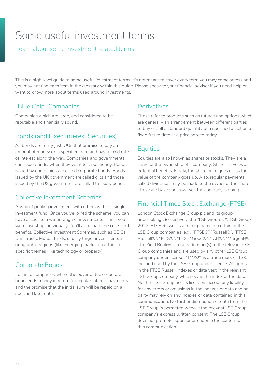# <span id="page-23-0"></span>Some useful investment terms

#### Learn about some investment related terms

This is a high-level guide to some useful investment terms. It's not meant to cover every term you may come across and you may not find each item in the glossary within this guide. Please speak to your financial adviser if you need help or want to know more about terms used around investments.

## "Blue Chip" Companies

Companies which are large, and considered to be reputable and financially sound.

## Bonds (and Fixed Interest Securities)

All bonds are really just IOUs that promise to pay an amount of money on a specified date and pay a fixed rate of interest along the way. Companies and governments can issue bonds, when they want to raise money. Bonds issued by companies are called corporate bonds. Bonds issued by the UK government are called gilts and those issued by the US government are called treasury bonds.

## Collective Investment Schemes

A way of pooling investment with others within a single investment fund. Once you've joined the scheme, you can have access to a wider range of investments than if you were investing individually. You'll also share the costs and benefits. Collective Investment Schemes, such as OEICs, Unit Trusts, Mutual funds, usually target investments in geographic regions (like emerging market countries) or specific themes (like technology or property).

## Corporate Bonds

Loans to companies where the buyer of the corporate bond lends money in return for regular interest payments and the promise that the initial sum will be repaid on a specified later date.

## **Derivatives**

These refer to products such as futures and options which are generally an arrangement between different parties to buy or sell a standard quantity of a specified asset on a fixed future date at a price agreed today.

## **Equities**

Equities are also known as shares or stocks. They are a share of the ownership of a company. Shares have two potential benefits. Firstly, the share price goes up as the value of the company goes up. Also, regular payments, called dividends, may be made to the owner of the share. These are based on how well the company is doing.

## Financial Times Stock Exchange (FTSE)

London Stock Exchange Group plc and its group undertakings (collectively, the "LSE Group"). © LSE Group 2022. FTSE Russell is a trading name of certain of the LSE Group companies. e.g., "FTSE®" "Russell®", "FTSE Russell®", "MTS®", "FTSE4Good®", "ICB®", "Mergent®, The Yield Book®," are a trade mark(s) of the relevant LSE Group companies and are used by any other LSE Group company under license. "TMX®" is a trade mark of TSX, Inc. and used by the LSE Group under license. All rights in the FTSE Russell indexes or data vest in the relevant LSE Group company which owns the index or the data. Neither LSE Group nor its licensors accept any liability for any errors or omissions in the indexes or data and no party may rely on any indexes or data contained in this communication. No further distribution of data from the LSE Group is permitted without the relevant LSE Group company's express written consent. The LSE Group does not promote, sponsor or endorse the content of this communication.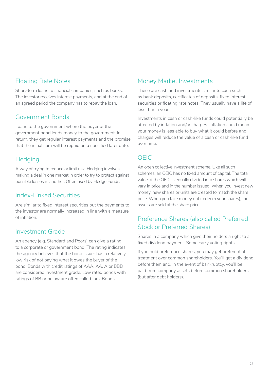## Floating Rate Notes

Short-term loans to financial companies, such as banks. The investor receives interest payments, and at the end of an agreed period the company has to repay the loan.

## Government Bonds

Loans to the government where the buyer of the government bond lends money to the government. In return, they get regular interest payments and the promise that the initial sum will be repaid on a specified later date.

## **Hedging**

A way of trying to reduce or limit risk. Hedging involves making a deal in one market in order to try to protect against possible losses in another. Often used by Hedge Funds.

### Index-Linked Securities

Are similar to fixed interest securities but the payments to the investor are normally increased in line with a measure of inflation.

## Investment Grade

An agency (e.g. Standard and Poors) can give a rating to a corporate or government bond. The rating indicates the agency believes that the bond issuer has a relatively low risk of not paying what it owes the buyer of the bond. Bonds with credit ratings of AAA, AA, A or BBB are considered investment grade. Low rated bonds with ratings of BB or below are often called Junk Bonds.

## Money Market Investments

These are cash and investments similar to cash such as bank deposits, certificates of deposits, fixed interest securities or floating rate notes. They usually have a life of less than a year.

Investments in cash or cash-like funds could potentially be affected by inflation and/or charges. Inflation could mean your money is less able to buy what it could before and charges will reduce the value of a cash or cash-like fund over time.

## OEIC

An open collective investment scheme. Like all such schemes, an OEIC has no fixed amount of capital. The total value of the OEIC is equally divided into shares which will vary in price and in the number issued. When you invest new money, new shares or units are created to match the share price. When you take money out (redeem your shares), the assets are sold at the share price.

## Preference Shares (also called Preferred Stock or Preferred Shares)

Shares in a company which give their holders a right to a fixed dividend payment. Some carry voting rights.

If you hold preference shares, you may get preferential treatment over common shareholders. You'll get a dividend before them and, in the event of bankruptcy, you'll be paid from company assets before common shareholders (but after debt holders).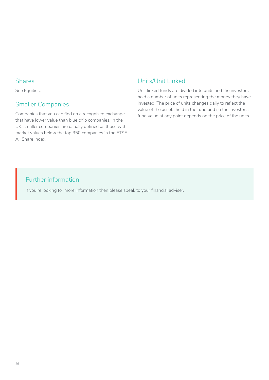#### Shares

See Equities.

## Smaller Companies

Companies that you can find on a recognised exchange that have lower value than blue chip companies. In the UK, smaller companies are usually defined as those with market values below the top 350 companies in the FTSE All Share Index.

## Units/Unit Linked

Unit linked funds are divided into units and the investors hold a number of units representing the money they have invested. The price of units changes daily to reflect the value of the assets held in the fund and so the investor's fund value at any point depends on the price of the units.

## Further information

If you're looking for more information then please speak to your financial adviser.